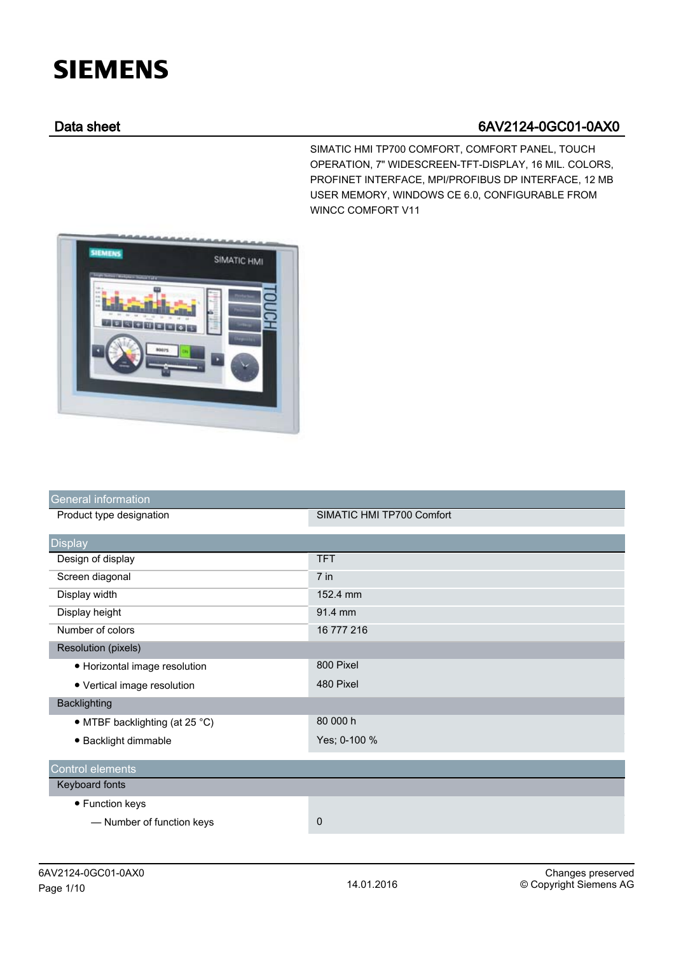## **SIEMENS**

## Data sheet 6AV2124-0GC01-0AX0

SIMATIC HMI TP700 COMFORT, COMFORT PANEL, TOUCH OPERATION, 7" WIDESCREEN-TFT-DISPLAY, 16 MIL. COLORS, PROFINET INTERFACE, MPI/PROFIBUS DP INTERFACE, 12 MB USER MEMORY, WINDOWS CE 6.0, CONFIGURABLE FROM WINCC COMFORT V11



| <b>General information</b>     |                           |
|--------------------------------|---------------------------|
| Product type designation       | SIMATIC HMI TP700 Comfort |
| <b>Display</b>                 |                           |
| Design of display              | <b>TFT</b>                |
| Screen diagonal                | $7$ in                    |
| Display width                  | 152.4 mm                  |
| Display height                 | 91.4 mm                   |
| Number of colors               | 16 777 216                |
| <b>Resolution (pixels)</b>     |                           |
| • Horizontal image resolution  | 800 Pixel                 |
| • Vertical image resolution    | 480 Pixel                 |
| <b>Backlighting</b>            |                           |
| • MTBF backlighting (at 25 °C) | 80 000 h                  |
| · Backlight dimmable           | Yes; 0-100 %              |
| Control elements               |                           |
| Keyboard fonts                 |                           |
| • Function keys                |                           |
| - Number of function keys      | 0                         |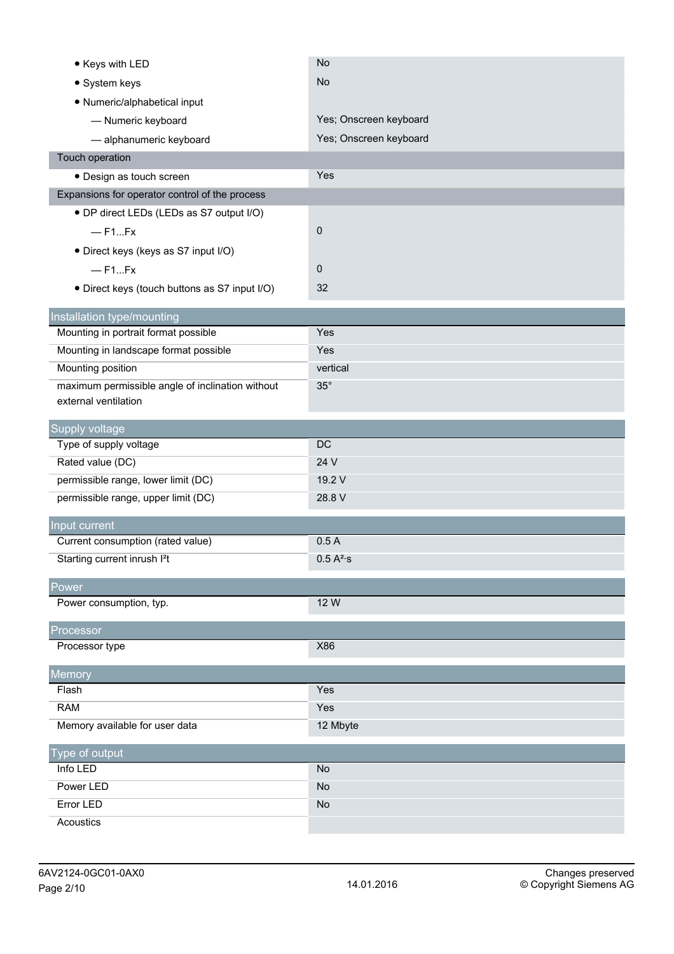| • Keys with LED                                                    | <b>No</b>              |
|--------------------------------------------------------------------|------------------------|
| • System keys                                                      | <b>No</b>              |
| • Numeric/alphabetical input                                       |                        |
| - Numeric keyboard                                                 | Yes; Onscreen keyboard |
| - alphanumeric keyboard                                            | Yes; Onscreen keyboard |
| Touch operation                                                    |                        |
| · Design as touch screen                                           | Yes                    |
| Expansions for operator control of the process                     |                        |
| • DP direct LEDs (LEDs as S7 output I/O)                           |                        |
| $-$ F1Fx                                                           | 0                      |
| · Direct keys (keys as S7 input I/O)                               |                        |
| $-$ F1Fx                                                           | 0                      |
| • Direct keys (touch buttons as S7 input I/O)                      | 32                     |
|                                                                    |                        |
| Installation type/mounting<br>Mounting in portrait format possible | Yes                    |
| Mounting in landscape format possible                              | Yes                    |
| Mounting position                                                  | vertical               |
| maximum permissible angle of inclination without                   | $35^\circ$             |
| external ventilation                                               |                        |
|                                                                    |                        |
| Supply voltage<br>Type of supply voltage                           | DC                     |
| Rated value (DC)                                                   | 24 V                   |
| permissible range, lower limit (DC)                                | 19.2 V                 |
| permissible range, upper limit (DC)                                | 28.8 V                 |
|                                                                    |                        |
| Input current                                                      |                        |
| Current consumption (rated value)                                  | 0.5A                   |
| Starting current inrush I <sup>2</sup> t                           | 0.5 A <sup>2</sup> ·s  |
| Power                                                              |                        |
| Power consumption, typ.                                            | 12 W                   |
| Processor                                                          |                        |
|                                                                    |                        |
| Processor type                                                     | X86                    |
|                                                                    |                        |
| Memory                                                             |                        |
| Flash                                                              | Yes                    |
| <b>RAM</b>                                                         | Yes                    |
| Memory available for user data                                     | 12 Mbyte               |
| Type of output                                                     |                        |
| Info LED                                                           | <b>No</b>              |
| Power LED                                                          | No                     |
| Error LED<br>Acoustics                                             | No                     |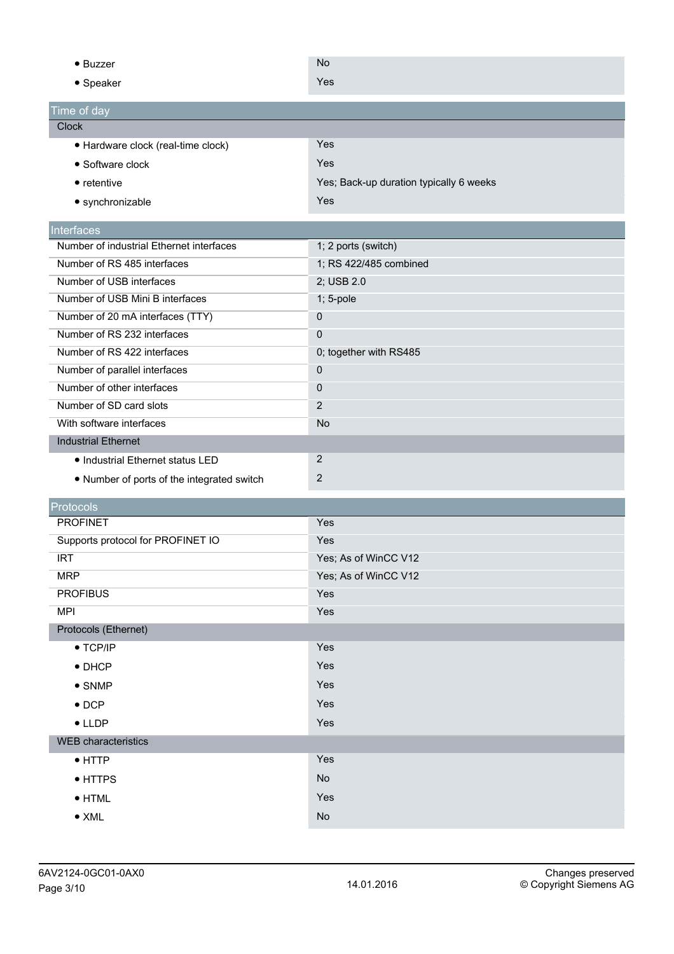| $\bullet$ Buzzer                           | <b>No</b>                               |
|--------------------------------------------|-----------------------------------------|
| • Speaker                                  | Yes                                     |
| Time of day                                |                                         |
| <b>Clock</b>                               |                                         |
| · Hardware clock (real-time clock)         | Yes                                     |
| • Software clock                           | Yes                                     |
| $\bullet$ retentive                        | Yes; Back-up duration typically 6 weeks |
| • synchronizable                           | Yes                                     |
| Interfaces                                 |                                         |
| Number of industrial Ethernet interfaces   | 1; 2 ports (switch)                     |
| Number of RS 485 interfaces                | 1; RS 422/485 combined                  |
| Number of USB interfaces                   | 2; USB 2.0                              |
| Number of USB Mini B interfaces            | 1; 5-pole                               |
| Number of 20 mA interfaces (TTY)           | 0                                       |
| Number of RS 232 interfaces                | $\mathbf 0$                             |
| Number of RS 422 interfaces                | 0; together with RS485                  |
| Number of parallel interfaces              | 0                                       |
| Number of other interfaces                 | 0                                       |
| Number of SD card slots                    | $\overline{2}$                          |
| With software interfaces                   | <b>No</b>                               |
| <b>Industrial Ethernet</b>                 |                                         |
| • Industrial Ethernet status LED           | $\overline{2}$                          |
| • Number of ports of the integrated switch | $\sqrt{2}$                              |
|                                            |                                         |
| Protocols                                  |                                         |
| <b>PROFINET</b>                            | Yes                                     |
| Supports protocol for PROFINET IO          | Yes                                     |
| <b>IRT</b>                                 | Yes; As of WinCC V12                    |
| <b>MRP</b>                                 | Yes; As of WinCC V12                    |
| <b>PROFIBUS</b>                            | Yes                                     |
| <b>MPI</b>                                 | Yes                                     |
| Protocols (Ethernet)                       |                                         |
| $\bullet$ TCP/IP                           | Yes                                     |
| $\bullet$ DHCP                             | Yes                                     |
| $\bullet$ SNMP                             | Yes                                     |
| $\bullet$ DCP                              | Yes                                     |
| $\bullet$ LLDP                             | Yes                                     |
| <b>WEB</b> characteristics                 |                                         |
| $\bullet$ HTTP                             | Yes                                     |
| • HTTPS                                    | No                                      |
| $\bullet$ HTML                             | Yes                                     |
| $\bullet$ XML                              | No                                      |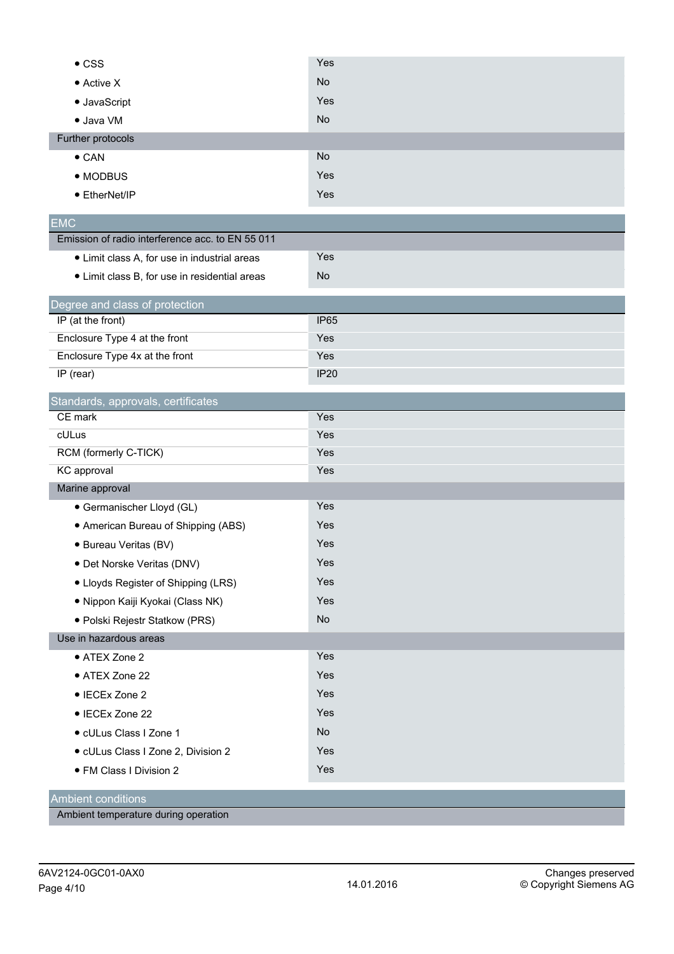| <b>No</b><br>• Active X<br>Yes<br>· JavaScript<br><b>No</b><br>· Java VM<br>Further protocols<br>No<br>$\bullet$ CAN<br>Yes<br>• MODBUS<br>Yes<br>• EtherNet/IP<br><b>EMC</b><br>Emission of radio interference acc. to EN 55 011<br>Yes<br>• Limit class A, for use in industrial areas<br>No<br>• Limit class B, for use in residential areas<br>Degree and class of protection<br>IP (at the front)<br><b>IP65</b> |
|-----------------------------------------------------------------------------------------------------------------------------------------------------------------------------------------------------------------------------------------------------------------------------------------------------------------------------------------------------------------------------------------------------------------------|
|                                                                                                                                                                                                                                                                                                                                                                                                                       |
|                                                                                                                                                                                                                                                                                                                                                                                                                       |
|                                                                                                                                                                                                                                                                                                                                                                                                                       |
|                                                                                                                                                                                                                                                                                                                                                                                                                       |
|                                                                                                                                                                                                                                                                                                                                                                                                                       |
|                                                                                                                                                                                                                                                                                                                                                                                                                       |
|                                                                                                                                                                                                                                                                                                                                                                                                                       |
|                                                                                                                                                                                                                                                                                                                                                                                                                       |
|                                                                                                                                                                                                                                                                                                                                                                                                                       |
|                                                                                                                                                                                                                                                                                                                                                                                                                       |
|                                                                                                                                                                                                                                                                                                                                                                                                                       |
|                                                                                                                                                                                                                                                                                                                                                                                                                       |
|                                                                                                                                                                                                                                                                                                                                                                                                                       |
| Enclosure Type 4 at the front<br>Yes                                                                                                                                                                                                                                                                                                                                                                                  |
| Enclosure Type 4x at the front<br>Yes                                                                                                                                                                                                                                                                                                                                                                                 |
| IP (rear)<br><b>IP20</b>                                                                                                                                                                                                                                                                                                                                                                                              |
| Standards, approvals, certificates                                                                                                                                                                                                                                                                                                                                                                                    |
| CE mark<br>Yes                                                                                                                                                                                                                                                                                                                                                                                                        |
| cULus<br>Yes                                                                                                                                                                                                                                                                                                                                                                                                          |
| RCM (formerly C-TICK)<br>Yes                                                                                                                                                                                                                                                                                                                                                                                          |
| KC approval<br>Yes                                                                                                                                                                                                                                                                                                                                                                                                    |
| Marine approval                                                                                                                                                                                                                                                                                                                                                                                                       |
| Yes<br>· Germanischer Lloyd (GL)                                                                                                                                                                                                                                                                                                                                                                                      |
| Yes<br>• American Bureau of Shipping (ABS)                                                                                                                                                                                                                                                                                                                                                                            |
| Yes<br>· Bureau Veritas (BV)                                                                                                                                                                                                                                                                                                                                                                                          |
| Yes<br>• Det Norske Veritas (DNV)                                                                                                                                                                                                                                                                                                                                                                                     |
| Yes<br>• Lloyds Register of Shipping (LRS)                                                                                                                                                                                                                                                                                                                                                                            |
| Yes<br>· Nippon Kaiji Kyokai (Class NK)                                                                                                                                                                                                                                                                                                                                                                               |
| No<br>· Polski Rejestr Statkow (PRS)                                                                                                                                                                                                                                                                                                                                                                                  |
| Use in hazardous areas                                                                                                                                                                                                                                                                                                                                                                                                |
| Yes<br>• ATEX Zone 2                                                                                                                                                                                                                                                                                                                                                                                                  |
| Yes<br>• ATEX Zone 22                                                                                                                                                                                                                                                                                                                                                                                                 |
| Yes<br>• IECEx Zone 2                                                                                                                                                                                                                                                                                                                                                                                                 |
| Yes<br>• IECEx Zone 22                                                                                                                                                                                                                                                                                                                                                                                                |
| No<br>· cULus Class I Zone 1                                                                                                                                                                                                                                                                                                                                                                                          |
| Yes<br>· cULus Class I Zone 2, Division 2                                                                                                                                                                                                                                                                                                                                                                             |
| Yes<br>· FM Class I Division 2                                                                                                                                                                                                                                                                                                                                                                                        |
| <b>Ambient conditions</b>                                                                                                                                                                                                                                                                                                                                                                                             |

Ambient temperature during operation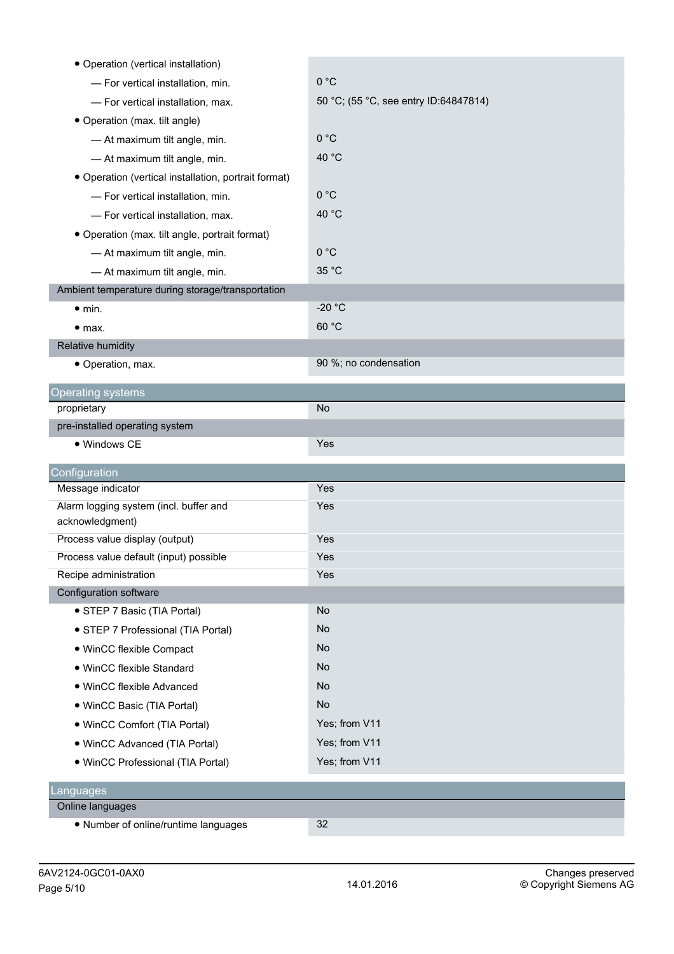| • Operation (vertical installation)                  |                                       |
|------------------------------------------------------|---------------------------------------|
| - For vertical installation, min.                    | 0 °C                                  |
| - For vertical installation, max.                    | 50 °C; (55 °C, see entry ID:64847814) |
| • Operation (max. tilt angle)                        |                                       |
| - At maximum tilt angle, min.                        | 0 °C                                  |
| - At maximum tilt angle, min.                        | 40 °C                                 |
| • Operation (vertical installation, portrait format) |                                       |
| - For vertical installation, min.                    | 0 °C                                  |
| - For vertical installation, max.                    | 40 °C                                 |
| • Operation (max. tilt angle, portrait format)       |                                       |
| - At maximum tilt angle, min.                        | 0 °C                                  |
| - At maximum tilt angle, min.                        | 35 °C                                 |
| Ambient temperature during storage/transportation    |                                       |
| $\bullet$ min.                                       | $-20 °C$                              |
| • <sub>max.</sub>                                    | 60 °C                                 |
| Relative humidity                                    |                                       |
| • Operation, max.                                    | 90 %; no condensation                 |
| <b>Operating systems</b>                             |                                       |
| proprietary                                          | No                                    |
| pre-installed operating system                       |                                       |
| · Windows CE                                         | Yes                                   |
| Configuration                                        |                                       |
| Message indicator                                    | Yes                                   |
| Alarm logging system (incl. buffer and               | Yes                                   |
| acknowledgment)                                      |                                       |
| Process value display (output)                       | Yes                                   |
| Process value default (input) possible               | Yes                                   |
| Recipe administration                                | Yes                                   |
| Configuration software                               |                                       |
| • STEP 7 Basic (TIA Portal)                          | <b>No</b>                             |
| • STEP 7 Professional (TIA Portal)                   | No                                    |
| • WinCC flexible Compact                             | No                                    |
| · WinCC flexible Standard                            | No                                    |
| · WinCC flexible Advanced                            | No                                    |
| • WinCC Basic (TIA Portal)                           | <b>No</b>                             |
| • WinCC Comfort (TIA Portal)                         | Yes; from V11                         |
| • WinCC Advanced (TIA Portal)                        | Yes; from V11                         |
| · WinCC Professional (TIA Portal)                    | Yes; from V11                         |
| Languages                                            |                                       |
| Online languages                                     |                                       |
| • Number of online/runtime languages                 | 32                                    |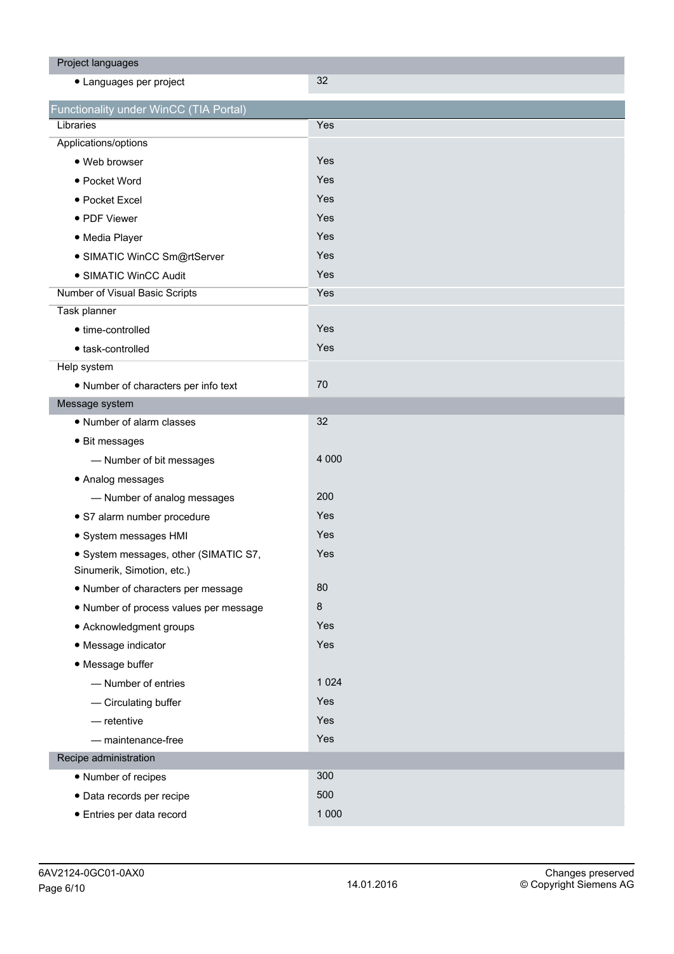| Project languages                      |         |
|----------------------------------------|---------|
| • Languages per project                | 32      |
| Functionality under WinCC (TIA Portal) |         |
| Libraries                              | Yes     |
| Applications/options                   |         |
| · Web browser                          | Yes     |
| • Pocket Word                          | Yes     |
| • Pocket Excel                         | Yes     |
| • PDF Viewer                           | Yes     |
| · Media Player                         | Yes     |
| · SIMATIC WinCC Sm@rtServer            | Yes     |
| • SIMATIC WinCC Audit                  | Yes     |
| Number of Visual Basic Scripts         | Yes     |
| Task planner                           |         |
| • time-controlled                      | Yes     |
| · task-controlled                      | Yes     |
| Help system                            |         |
| • Number of characters per info text   | 70      |
| Message system                         |         |
| • Number of alarm classes              | 32      |
| • Bit messages                         |         |
| - Number of bit messages               | 4 0 0 0 |
| • Analog messages                      |         |
| - Number of analog messages            | 200     |
| · S7 alarm number procedure            | Yes     |
| · System messages HMI                  | Yes     |
| · System messages, other (SIMATIC S7,  | Yes     |
| Sinumerik, Simotion, etc.)             |         |
| • Number of characters per message     | 80      |
| . Number of process values per message | $\bf 8$ |
| • Acknowledgment groups                | Yes     |
| • Message indicator                    | Yes     |
| • Message buffer                       |         |
| - Number of entries                    | 1 0 2 4 |
| - Circulating buffer                   | Yes     |
| $-$ retentive                          | Yes     |
| - maintenance-free                     | Yes     |
| Recipe administration                  |         |
| • Number of recipes                    | 300     |
| · Data records per recipe              | 500     |
| · Entries per data record              | 1 0 0 0 |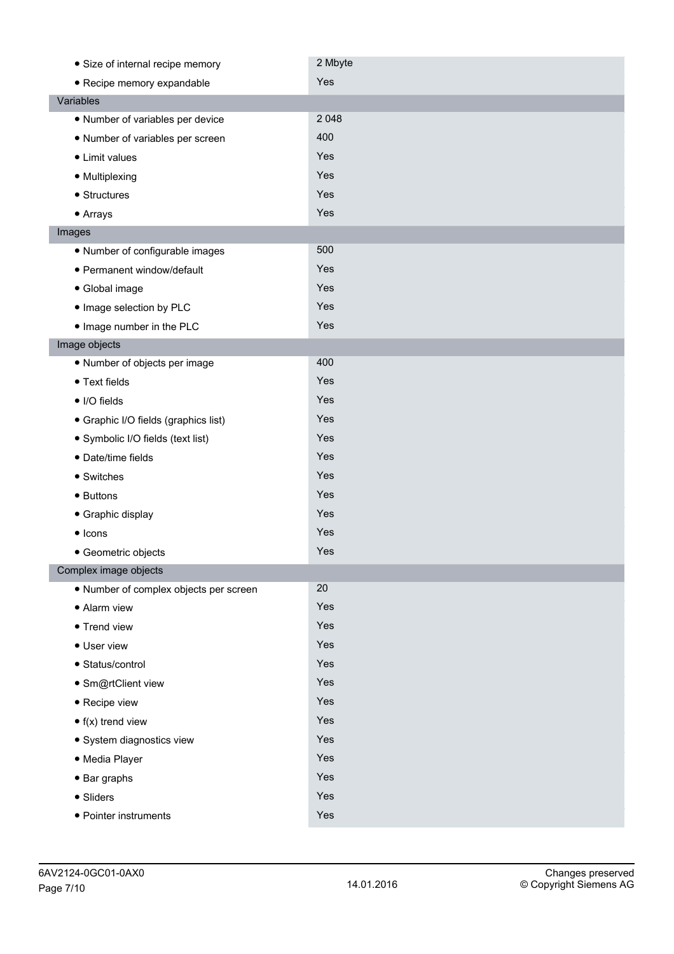| • Size of internal recipe memory       | 2 Mbyte |
|----------------------------------------|---------|
| • Recipe memory expandable             | Yes     |
| Variables                              |         |
| • Number of variables per device       | 2 0 4 8 |
| • Number of variables per screen       | 400     |
| • Limit values                         | Yes     |
| • Multiplexing                         | Yes     |
| • Structures                           | Yes     |
| • Arrays                               | Yes     |
| Images                                 |         |
| • Number of configurable images        | 500     |
| • Permanent window/default             | Yes     |
| • Global image                         | Yes     |
| . Image selection by PLC               | Yes     |
| . Image number in the PLC              | Yes     |
| Image objects                          |         |
| · Number of objects per image          | 400     |
| • Text fields                          | Yes     |
| • I/O fields                           | Yes     |
| • Graphic I/O fields (graphics list)   | Yes     |
| • Symbolic I/O fields (text list)      | Yes     |
| · Date/time fields                     | Yes     |
| • Switches                             | Yes     |
| • Buttons                              | Yes     |
| • Graphic display                      | Yes     |
| $\bullet$ Icons                        | Yes     |
| • Geometric objects                    | Yes     |
| Complex image objects                  |         |
| · Number of complex objects per screen | 20      |
| • Alarm view                           | Yes     |
| • Trend view                           | Yes     |
| • User view                            | Yes     |
| • Status/control                       | Yes     |
| · Sm@rtClient view                     | Yes     |
| • Recipe view                          | Yes     |
| $\bullet$ f(x) trend view              | Yes     |
| · System diagnostics view              | Yes     |
| · Media Player                         | Yes     |
| $\bullet$ Bar graphs                   | Yes     |
| • Sliders                              | Yes     |
| • Pointer instruments                  | Yes     |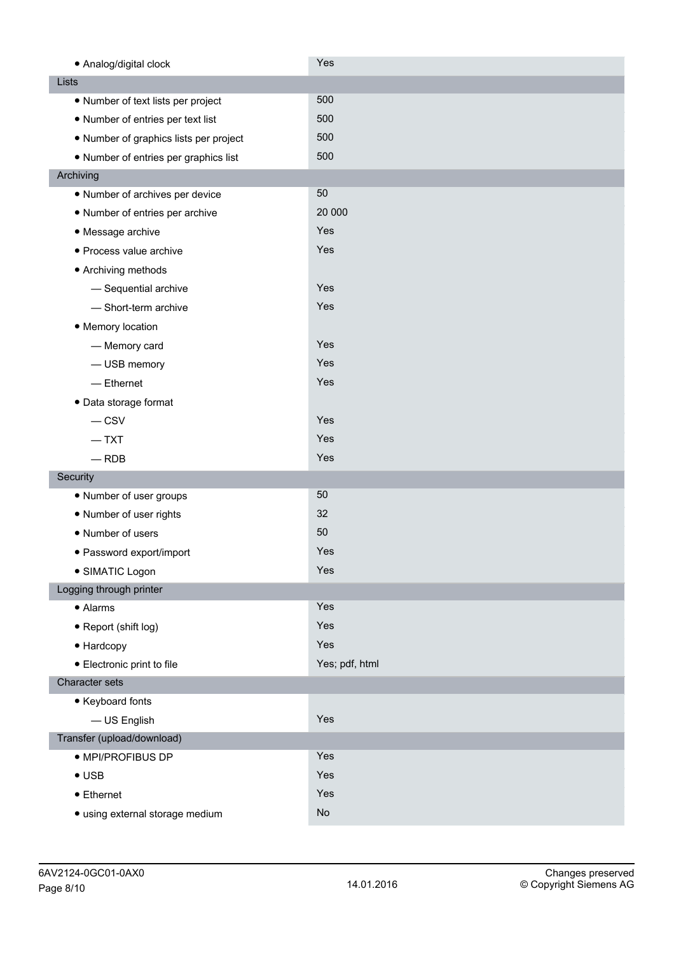| • Analog/digital clock                 | Yes            |
|----------------------------------------|----------------|
| Lists                                  |                |
| • Number of text lists per project     | 500            |
| • Number of entries per text list      | 500            |
| • Number of graphics lists per project | 500            |
| • Number of entries per graphics list  | 500            |
| Archiving                              |                |
| • Number of archives per device        | 50             |
| • Number of entries per archive        | 20 000         |
| • Message archive                      | Yes            |
| · Process value archive                | Yes            |
| • Archiving methods                    |                |
| - Sequential archive                   | Yes            |
| - Short-term archive                   | Yes            |
| • Memory location                      |                |
| - Memory card                          | Yes            |
| - USB memory                           | Yes            |
| $-$ Ethernet                           | Yes            |
| • Data storage format                  |                |
| $-$ CSV                                | Yes            |
| $-$ TXT                                | Yes            |
| $-$ RDB                                | Yes            |
| Security                               |                |
| • Number of user groups                | 50             |
| • Number of user rights                | 32             |
| • Number of users                      | 50             |
| • Password export/import               | Yes            |
| · SIMATIC Logon                        | Yes            |
| Logging through printer                |                |
| • Alarms                               | Yes            |
| • Report (shift log)                   | Yes            |
| • Hardcopy                             | Yes            |
| • Electronic print to file             | Yes; pdf, html |
| Character sets                         |                |
| • Keyboard fonts                       |                |
| - US English                           | Yes            |
| Transfer (upload/download)             |                |
| · MPI/PROFIBUS DP                      | Yes            |
| $\bullet$ USB                          | Yes            |
| • Ethernet                             | Yes            |
| · using external storage medium        | No             |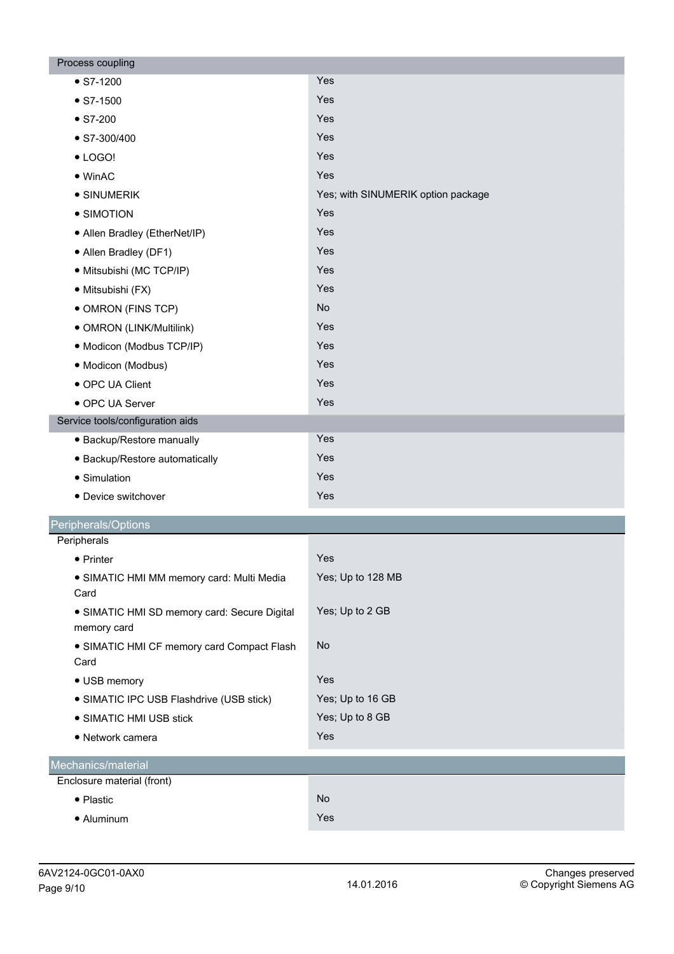| Process coupling                                            |                                    |
|-------------------------------------------------------------|------------------------------------|
| $\bullet$ S7-1200                                           | Yes                                |
| $\bullet$ S7-1500                                           | Yes                                |
| $\bullet$ S7-200                                            | Yes                                |
| $\bullet$ S7-300/400                                        | Yes                                |
| $\bullet$ LOGO!                                             | Yes                                |
| $\bullet$ WinAC                                             | Yes                                |
| • SINUMERIK                                                 | Yes; with SINUMERIK option package |
| • SIMOTION                                                  | Yes                                |
| • Allen Bradley (EtherNet/IP)                               | Yes                                |
| • Allen Bradley (DF1)                                       | Yes                                |
| · Mitsubishi (MC TCP/IP)                                    | Yes                                |
| · Mitsubishi (FX)                                           | Yes                                |
| • OMRON (FINS TCP)                                          | <b>No</b>                          |
| · OMRON (LINK/Multilink)                                    | Yes                                |
| · Modicon (Modbus TCP/IP)                                   | Yes                                |
| · Modicon (Modbus)                                          | Yes                                |
| • OPC UA Client                                             | Yes                                |
| • OPC UA Server                                             | Yes                                |
| Service tools/configuration aids                            |                                    |
| • Backup/Restore manually                                   | Yes                                |
| • Backup/Restore automatically                              | Yes                                |
| • Simulation                                                | Yes                                |
| • Device switchover                                         | Yes                                |
| Peripherals/Options                                         |                                    |
| Peripherals                                                 |                                    |
| • Printer                                                   | Yes                                |
| · SIMATIC HMI MM memory card: Multi Media                   | Yes; Up to 128 MB                  |
| Card                                                        |                                    |
| • SIMATIC HMI SD memory card: Secure Digital<br>memory card | Yes; Up to 2 GB                    |
| • SIMATIC HMI CF memory card Compact Flash<br>Card          | <b>No</b>                          |
| • USB memory                                                | Yes                                |
| • SIMATIC IPC USB Flashdrive (USB stick)                    | Yes; Up to 16 GB                   |
| • SIMATIC HMI USB stick                                     | Yes; Up to 8 GB                    |
| • Network camera                                            | Yes                                |
| Mechanics/material                                          |                                    |
| Enclosure material (front)                                  |                                    |
| • Plastic                                                   | No                                 |
| • Aluminum                                                  | Yes                                |